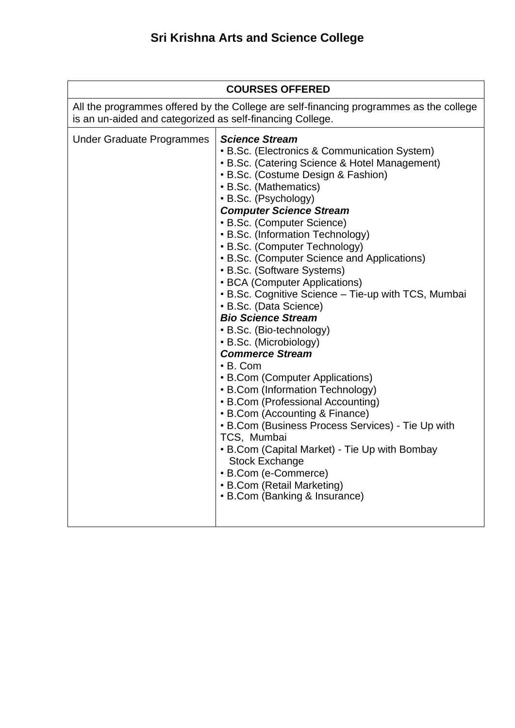| <b>COURSES OFFERED</b>                                                                                                                              |                                                                                                                                                                                                                                                                                                                                                                                                                                                                                                                                                                                                                                                                                                                                                                                                                                                                                                                                                                                                                                                                     |
|-----------------------------------------------------------------------------------------------------------------------------------------------------|---------------------------------------------------------------------------------------------------------------------------------------------------------------------------------------------------------------------------------------------------------------------------------------------------------------------------------------------------------------------------------------------------------------------------------------------------------------------------------------------------------------------------------------------------------------------------------------------------------------------------------------------------------------------------------------------------------------------------------------------------------------------------------------------------------------------------------------------------------------------------------------------------------------------------------------------------------------------------------------------------------------------------------------------------------------------|
| All the programmes offered by the College are self-financing programmes as the college<br>is an un-aided and categorized as self-financing College. |                                                                                                                                                                                                                                                                                                                                                                                                                                                                                                                                                                                                                                                                                                                                                                                                                                                                                                                                                                                                                                                                     |
| <b>Under Graduate Programmes</b>                                                                                                                    | <b>Science Stream</b><br>• B.Sc. (Electronics & Communication System)<br>• B.Sc. (Catering Science & Hotel Management)<br>• B.Sc. (Costume Design & Fashion)<br>• B.Sc. (Mathematics)<br>• B.Sc. (Psychology)<br><b>Computer Science Stream</b><br>• B.Sc. (Computer Science)<br>• B.Sc. (Information Technology)<br>• B.Sc. (Computer Technology)<br>• B.Sc. (Computer Science and Applications)<br>• B.Sc. (Software Systems)<br>• BCA (Computer Applications)<br>• B.Sc. Cognitive Science - Tie-up with TCS, Mumbai<br>• B.Sc. (Data Science)<br><b>Bio Science Stream</b><br>• B.Sc. (Bio-technology)<br>• B.Sc. (Microbiology)<br><b>Commerce Stream</b><br>$\cdot$ B. Com<br>• B.Com (Computer Applications)<br>• B.Com (Information Technology)<br>• B.Com (Professional Accounting)<br>• B.Com (Accounting & Finance)<br>• B.Com (Business Process Services) - Tie Up with<br>TCS, Mumbai<br>• B.Com (Capital Market) - Tie Up with Bombay<br><b>Stock Exchange</b><br>• B.Com (e-Commerce)<br>• B.Com (Retail Marketing)<br>• B.Com (Banking & Insurance) |